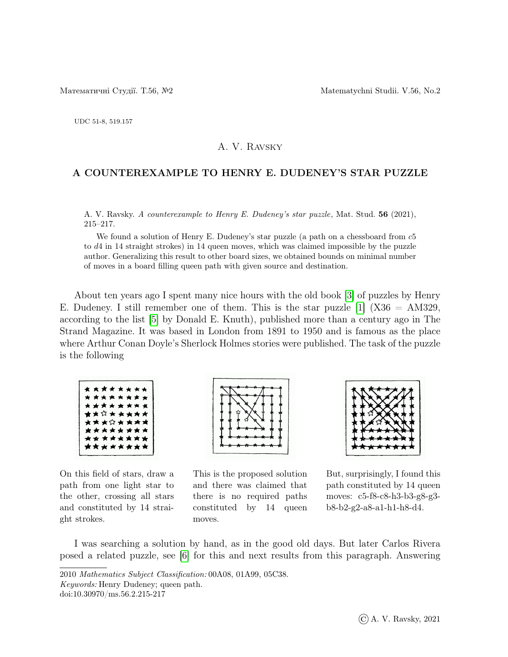UDC 51-8, 519.157

## A. V. Ravsky

## A COUNTEREXAMPLE TO HENRY E. DUDENEY'S STAR PUZZLE

A. V. Ravsky. A counterexample to Henry E. Dudeney's star puzzle, Mat. Stud. 56 (2021), 215–217.

We found a solution of Henry E. Dudeney's star puzzle (a path on a chessboard from  $c5$ to d4 in 14 straight strokes) in 14 queen moves, which was claimed impossible by the puzzle author. Generalizing this result to other board sizes, we obtained bounds on minimal number of moves in a board filling queen path with given source and destination.

About ten years ago I spent many nice hours with the old book [\[3\]](#page-2-0) of puzzles by Henry E. Dudeney. I still remember one of them. This is the star puzzle  $[1]$  (X36 = AM329, according to the list [\[5\]](#page-2-2) by Donald E. Knuth), published more than a century ago in The Strand Magazine. It was based in London from 1891 to 1950 and is famous as the place where Arthur Conan Doyle's Sherlock Holmes stories were published. The task of the puzzle is the following

|  | * * * * * * * * |  |  |
|--|-----------------|--|--|
|  | * * * * * * * * |  |  |
|  | ********        |  |  |
|  | ★★☆★★★★★        |  |  |
|  | ********        |  |  |
|  | <b>*******</b>  |  |  |
|  | ********        |  |  |
|  | ********        |  |  |
|  |                 |  |  |

On this field of stars, draw a path from one light star to the other, crossing all stars and constituted by 14 straight strokes.



This is the proposed solution and there was claimed that there is no required paths constituted by 14 queen moves.



But, surprisingly, I found this path constituted by 14 queen moves: c5-f8-c8-h3-b3-g8-g3 b8-b2-g2-a8-a1-h1-h8-d4.

I was searching a solution by hand, as in the good old days. But later Carlos Rivera posed a related puzzle, see [\[6\]](#page-2-3) for this and next results from this paragraph. Answering

<sup>2010</sup> Mathematics Subject Classification: 00A08, 01A99, 05C38. Keywords: Henry Dudeney; queen path.

doi:10.30970/ms.56.2.215-217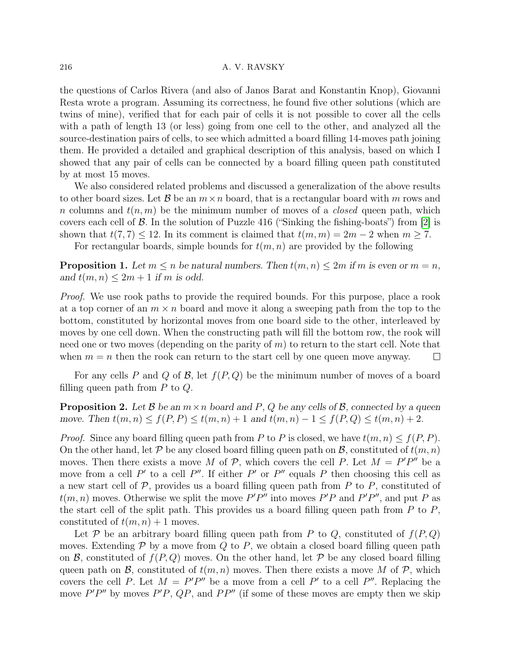## 216 A. V. RAVSKY

the questions of Carlos Rivera (and also of Janos Barat and Konstantin Knop), Giovanni Resta wrote a program. Assuming its correctness, he found five other solutions (which are twins of mine), verified that for each pair of cells it is not possible to cover all the cells with a path of length 13 (or less) going from one cell to the other, and analyzed all the source-destination pairs of cells, to see which admitted a board filling 14-moves path joining them. He provided a detailed and graphical description of this analysis, based on which I showed that any pair of cells can be connected by a board filling queen path constituted by at most 15 moves.

We also considered related problems and discussed a generalization of the above results to other board sizes. Let B be an  $m \times n$  board, that is a rectangular board with m rows and n columns and  $t(n, m)$  be the minimum number of moves of a *closed* queen path, which covers each cell of  $\beta$ . In the solution of Puzzle 416 ("Sinking the fishing-boats") from [\[2\]](#page-2-4) is shown that  $t(7, 7) \leq 12$ . In its comment is claimed that  $t(m, m) = 2m - 2$  when  $m \geq 7$ .

For rectangular boards, simple bounds for  $t(m, n)$  are provided by the following

<span id="page-1-0"></span>**Proposition 1.** Let  $m \leq n$  be natural numbers. Then  $t(m, n) \leq 2m$  if m is even or  $m = n$ , and  $t(m, n) \leq 2m + 1$  if m is odd.

Proof. We use rook paths to provide the required bounds. For this purpose, place a rook at a top corner of an  $m \times n$  board and move it along a sweeping path from the top to the bottom, constituted by horizontal moves from one board side to the other, interleaved by moves by one cell down. When the constructing path will fill the bottom row, the rook will need one or two moves (depending on the parity of  $m$ ) to return to the start cell. Note that when  $m = n$  then the rook can return to the start cell by one queen move anyway.  $\Box$ 

For any cells P and Q of B, let  $f(P,Q)$  be the minimum number of moves of a board filling queen path from  $P$  to  $Q$ .

**Proposition 2.** Let  $\mathcal{B}$  be an  $m \times n$  board and P, Q be any cells of  $\mathcal{B}$ , connected by a queen move. Then  $t(m, n) \le f(P, P) \le t(m, n) + 1$  and  $t(m, n) - 1 \le f(P, Q) \le t(m, n) + 2$ .

*Proof.* Since any board filling queen path from P to P is closed, we have  $t(m, n) \le f(P, P)$ . On the other hand, let P be any closed board filling queen path on B, constituted of  $t(m, n)$ moves. Then there exists a move M of P, which covers the cell P. Let  $M = P'P''$  be a move from a cell P' to a cell P''. If either P' or P'' equals P then choosing this cell as a new start cell of  $P$ , provides us a board filling queen path from  $P$  to  $P$ , constituted of  $t(m, n)$  moves. Otherwise we split the move P'P'' into moves P'P and P'P'', and put P as the start cell of the split path. This provides us a board filling queen path from  $P$  to  $P$ , constituted of  $t(m, n) + 1$  moves.

Let P be an arbitrary board filling queen path from P to Q, constituted of  $f(P,Q)$ moves. Extending  $P$  by a move from  $Q$  to  $P$ , we obtain a closed board filling queen path on  $\mathcal B$ , constituted of  $f(P,Q)$  moves. On the other hand, let  $\mathcal P$  be any closed board filling queen path on  $\mathcal{B}$ , constituted of  $t(m, n)$  moves. Then there exists a move M of P, which covers the cell P. Let  $M = P'P''$  be a move from a cell P' to a cell P''. Replacing the move  $P'P''$  by moves  $P'P$ ,  $QP$ , and  $PP''$  (if some of these moves are empty then we skip